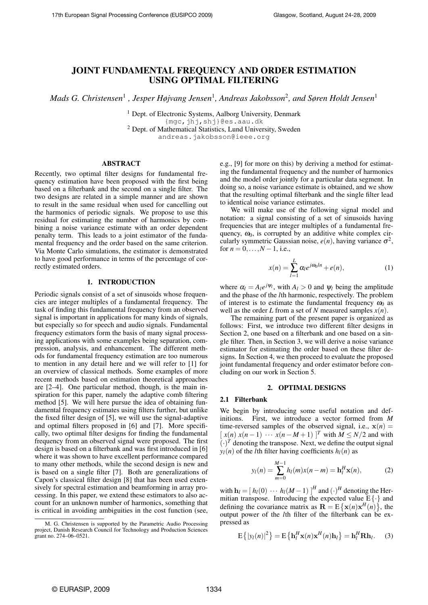# JOINT FUNDAMENTAL FREQUENCY AND ORDER ESTIMATION USING OPTIMAL FILTERING

*Mads G. Christensen*<sup>1</sup> *, Jesper Højvang Jensen*<sup>1</sup> *, Andreas Jakobsson*<sup>2</sup> *, and Søren Holdt Jensen*<sup>1</sup>

<sup>1</sup> Dept. of Electronic Systems, Aalborg University, Denmark {mgc,jhj,shj}@es.aau.dk <sup>2</sup> Dept. of Mathematical Statistics, Lund University, Sweden andreas.jakobsson@ieee.org

# ABSTRACT

Recently, two optimal filter designs for fundamental frequency estimation have been proposed with the first being based on a filterbank and the second on a single filter. The two designs are related in a simple manner and are shown to result in the same residual when used for cancelling out the harmonics of periodic signals. We propose to use this residual for estimating the number of harmonics by combining a noise variance estimate with an order dependent penalty term. This leads to a joint estimator of the fundamental frequency and the order based on the same criterion. Via Monte Carlo simulations, the estimator is demonstrated to have good performance in terms of the percentage of correctly estimated orders.

## 1. INTRODUCTION

Periodic signals consist of a set of sinusoids whose frequencies are integer multiples of a fundamental frequency. The task of finding this fundamental frequency from an observed signal is important in applications for many kinds of signals, but especially so for speech and audio signals. Fundamental frequency estimators form the basis of many signal processing applications with some examples being separation, compression, analysis, and enhancement. The different methods for fundamental frequency estimation are too numerous to mention in any detail here and we will refer to [1] for an overview of classical methods. Some examples of more recent methods based on estimation theoretical approaches are [2–4]. One particular method, though, is the main inspiration for this paper, namely the adaptive comb filtering method [5]. We will here pursue the idea of obtaining fundamental frequency estimates using filters further, but unlike the fixed filter design of [5], we will use the signal-adaptive and optimal filters proposed in [6] and [7]. More specifically, two optimal filter designs for finding the fundamental frequency from an observed signal were proposed. The first design is based on a filterbank and was first introduced in [6] where it was shown to have excellent performance compared to many other methods, while the second design is new and is based on a single filter [7]. Both are generalizations of Capon's classical filter design [8] that has been used extensively for spectral estimation and beamforming in array processing. In this paper, we extend these estimators to also account for an unknown number of harmonics, something that is critical in avoiding ambiguities in the cost function (see, e.g., [9] for more on this) by deriving a method for estimating the fundamental frequency and the number of harmonics and the model order jointly for a particular data segment. In doing so, a noise variance estimate is obtained, and we show that the resulting optimal filterbank and the single filter lead to identical noise variance estimates.

We will make use of the following signal model and notation: a signal consisting of a set of sinusoids having frequencies that are integer multiples of a fundamental frequency,  $\omega_0$ , is corrupted by an additive white complex circularly symmetric Gaussian noise,  $e(n)$ , having variance  $\sigma^2$ , for  $n = 0, ..., N - 1$ , i.e.,

$$
x(n) = \sum_{l=1}^{L} \alpha_l e^{j\omega_0 ln} + e(n), \qquad (1)
$$

where  $\alpha_l = A_l e^{j \psi_l}$ , with  $A_l > 0$  and  $\psi_l$  being the amplitude and the phase of the *l*th harmonic, respectively. The problem of interest is to estimate the fundamental frequency  $\omega_0$  as well as the order *L* from a set of *N* measured samples  $x(n)$ .

The remaining part of the present paper is organized as follows: First, we introduce two different filter designs in Section 2, one based on a filterbank and one based on a single filter. Then, in Section 3, we will derive a noise variance estimator for estimating the order based on these filter designs. In Section 4, we then proceed to evaluate the proposed joint fundamental frequency and order estimator before concluding on our work in Section 5.

#### 2. OPTIMAL DESIGNS

#### 2.1 Filterbank

We begin by introducing some useful notation and definitions. First, we introduce a vector formed from *M* time-reversed samples of the observed signal, i.e.,  $x(n) =$  $[x(n) x(n-1) \cdots x(n-M+1)]^T$  with  $M \le N/2$  and with  $(\cdot)^T$  denoting the transpose. Next, we define the output signal  $y_l(n)$  of the *l*th filter having coefficients  $h_l(n)$  as

$$
y_l(n) = \sum_{m=0}^{M-1} h_l(m)x(n-m) = \mathbf{h}_l^H \mathbf{x}(n),
$$
 (2)

with  $\mathbf{h}_l = [h_l(0) \cdots h_l(M-1)]^H$  and  $(\cdot)^H$  denoting the Hermitian transpose. Introducing the expected value  $E\{\cdot\}$  and defining the covariance matrix as  $\mathbf{R} = \mathbf{E} \{ \mathbf{x}(n) \mathbf{x}^H(n) \}$ , the output power of the *l*th filter of the filterbank can be expressed as

$$
E\left\{|y_l(n)|^2\right\} = E\left\{\mathbf{h}_l^H \mathbf{x}(n)\mathbf{x}^H(n)\mathbf{h}_l\right\} = \mathbf{h}_l^H \mathbf{R} \mathbf{h}_l. \tag{3}
$$

M. G. Christensen is supported by the Parametric Audio Processing project, Danish Research Council for Technology and Production Sciences grant no. 274–06–0521.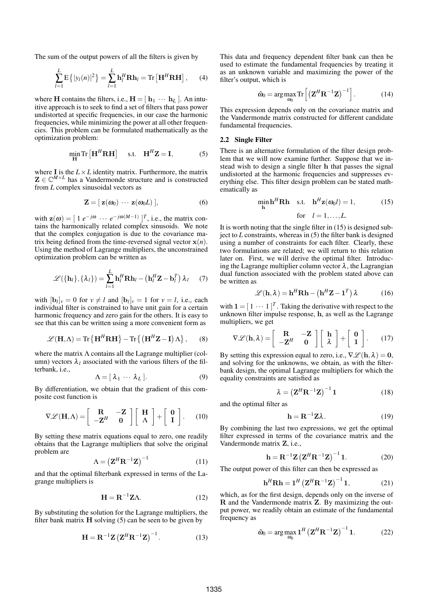The sum of the output powers of all the filters is given by

$$
\sum_{l=1}^{L} \mathbf{E} \left\{ |y_l(n)|^2 \right\} = \sum_{l=1}^{L} \mathbf{h}_l^H \mathbf{R} \mathbf{h}_l = \text{Tr} \left[ \mathbf{H}^H \mathbf{R} \mathbf{H} \right], \qquad (4)
$$

where **H** contains the filters, i.e.,  $\mathbf{H} = [\mathbf{h}_1 \cdots \mathbf{h}_L]$ . An intuitive approach is to seek to find a set of filters that pass power undistorted at specific frequencies, in our case the harmonic frequencies, while minimizing the power at all other frequencies. This problem can be formulated mathematically as the optimization problem:

$$
\min_{\mathbf{H}} \text{Tr}\left[\mathbf{H}^H \mathbf{R} \mathbf{H}\right] \quad \text{s.t.} \quad \mathbf{H}^H \mathbf{Z} = \mathbf{I}, \tag{5}
$$

where **I** is the  $L \times L$  identity matrix. Furthermore, the matrix  $Z \in \mathbb{C}^{M \times L}$  has a Vandermonde structure and is constructed from *L* complex sinusoidal vectors as

$$
\mathbf{Z} = [\mathbf{z}(\omega_0) \cdots \mathbf{z}(\omega_0 L)], \qquad (6)
$$

with  $\mathbf{z}(\omega) = [1 \ e^{-j\omega} \ \cdots \ e^{-j\omega(M-1)}]^{T}$ , i.e., the matrix contains the harmonically related complex sinusoids. We note that the complex conjugation is due to the covariance matrix being defined from the time-reversed signal vector  $x(n)$ . Using the method of Lagrange multipliers, the unconstrained optimization problem can be written as

$$
\mathscr{L}(\{\mathbf{h}_l\},\{\lambda_l\}) = \sum_{l=1}^L \mathbf{h}_l^H \mathbf{R} \mathbf{h}_l - (\mathbf{h}_l^H \mathbf{Z} - \mathbf{b}_l^T) \lambda_l \qquad (7)
$$

with  $[\mathbf{b}_l]_v = 0$  for  $v \neq l$  and  $[\mathbf{b}_l]_v = 1$  for  $v = l$ , i.e., each individual filter is constrained to have unit gain for a certain harmonic frequency and zero gain for the others. It is easy to see that this can be written using a more convenient form as

$$
\mathscr{L}(\mathbf{H}, \Lambda) = \text{Tr}\left\{\mathbf{H}^{H}\mathbf{R}\mathbf{H}\right\} - \text{Tr}\left\{\left(\mathbf{H}^{H}\mathbf{Z} - \mathbf{I}\right)\Lambda\right\},\qquad(8)
$$

where the matrix  $\Lambda$  contains all the Lagrange multiplier (column) vectors  $\lambda_l$  associated with the various filters of the filterbank, i.e.,

$$
\Lambda = [\lambda_1 \cdots \lambda_L]. \tag{9}
$$

By differentiation, we obtain that the gradient of this composite cost function is

$$
\nabla \mathcal{L}(\mathbf{H}, \Lambda) = \begin{bmatrix} \mathbf{R} & -\mathbf{Z} \\ -\mathbf{Z}^H & 0 \end{bmatrix} \begin{bmatrix} \mathbf{H} \\ \Lambda \end{bmatrix} + \begin{bmatrix} \mathbf{0} \\ \mathbf{I} \end{bmatrix}.
$$
 (10)

By setting these matrix equations equal to zero, one readily obtains that the Lagrange multipliers that solve the original problem are

$$
\Lambda = \left( \mathbf{Z}^H \mathbf{R}^{-1} \mathbf{Z} \right)^{-1} \tag{11}
$$

and that the optimal filterbank expressed in terms of the Lagrange multipliers is

$$
\mathbf{H} = \mathbf{R}^{-1} \mathbf{Z} \Lambda. \tag{12}
$$

By substituting the solution for the Lagrange multipliers, the filter bank matrix  $H$  solving  $(5)$  can be seen to be given by

$$
\mathbf{H} = \mathbf{R}^{-1} \mathbf{Z} \left( \mathbf{Z}^H \mathbf{R}^{-1} \mathbf{Z} \right)^{-1} . \tag{13}
$$

This data and frequency dependent filter bank can then be used to estimate the fundamental frequencies by treating it as an unknown variable and maximizing the power of the filter's output, which is

$$
\hat{\omega}_0 = \arg \max_{\omega_0} \text{Tr} \left[ \left( \mathbf{Z}^H \mathbf{R}^{-1} \mathbf{Z} \right)^{-1} \right]. \tag{14}
$$

This expression depends only on the covariance matrix and the Vandermonde matrix constructed for different candidate fundamental frequencies.

# 2.2 Single Filter

There is an alternative formulation of the filter design problem that we will now examine further. Suppose that we instead wish to design a single filter h that passes the signal undistorted at the harmonic frequencies and suppresses everything else. This filter design problem can be stated mathematically as

$$
\min_{\mathbf{h}} \mathbf{h}^H \mathbf{R} \mathbf{h} \quad \text{s.t.} \quad \mathbf{h}^H \mathbf{z}(\omega_0 l) = 1, \tag{15}
$$
\n
$$
\text{for} \quad l = 1, \dots, L.
$$

It is worth noting that the single filter in (15) is designed subject to *L* constraints, whereas in (5) the filter bank is designed using a number of constraints for each filter. Clearly, these two formulations are related; we will return to this relation later on. First, we will derive the optimal filter. Introducing the Lagrange multiplier column vector  $\lambda$ , the Lagrangian dual function associated with the problem stated above can be written as

$$
\mathcal{L}(\mathbf{h}, \lambda) = \mathbf{h}^H \mathbf{R} \mathbf{h} - (\mathbf{h}^H \mathbf{Z} - \mathbf{1}^T) \lambda \tag{16}
$$

with  $\mathbf{1} = [1 \cdots 1]^T$ . Taking the derivative with respect to the unknown filter impulse response, h, as well as the Lagrange multipliers, we get

$$
\nabla \mathscr{L}(\mathbf{h}, \lambda) = \begin{bmatrix} \mathbf{R} & -\mathbf{Z} \\ -\mathbf{Z}^H & 0 \end{bmatrix} \begin{bmatrix} \mathbf{h} \\ \lambda \end{bmatrix} + \begin{bmatrix} \mathbf{0} \\ \mathbf{1} \end{bmatrix}.
$$
 (17)

By setting this expression equal to zero, i.e.,  $\nabla \mathcal{L}(\mathbf{h}, \lambda) = 0$ , and solving for the unknowns, we obtain, as with the filterbank design, the optimal Lagrange multipliers for which the equality constraints are satisfied as

$$
\lambda = \left(\mathbf{Z}^H \mathbf{R}^{-1} \mathbf{Z}\right)^{-1} \mathbf{1} \tag{18}
$$

and the optimal filter as

$$
\mathbf{h} = \mathbf{R}^{-1} \mathbf{Z} \lambda. \tag{19}
$$

By combining the last two expressions, we get the optimal filter expressed in terms of the covariance matrix and the Vandermonde matrix Z, i.e.,

$$
\mathbf{h} = \mathbf{R}^{-1} \mathbf{Z} \left( \mathbf{Z}^H \mathbf{R}^{-1} \mathbf{Z} \right)^{-1} \mathbf{1}.
$$
 (20)

The output power of this filter can then be expressed as

$$
\mathbf{h}^H \mathbf{R} \mathbf{h} = \mathbf{1}^H \left( \mathbf{Z}^H \mathbf{R}^{-1} \mathbf{Z} \right)^{-1} \mathbf{1},\tag{21}
$$

which, as for the first design, depends only on the inverse of R and the Vandermonde matrix Z. By maximizing the output power, we readily obtain an estimate of the fundamental frequency as

$$
\hat{\omega}_0 = \arg \max_{\omega_0} \mathbf{1}^H \left( \mathbf{Z}^H \mathbf{R}^{-1} \mathbf{Z} \right)^{-1} \mathbf{1}.
$$
 (22)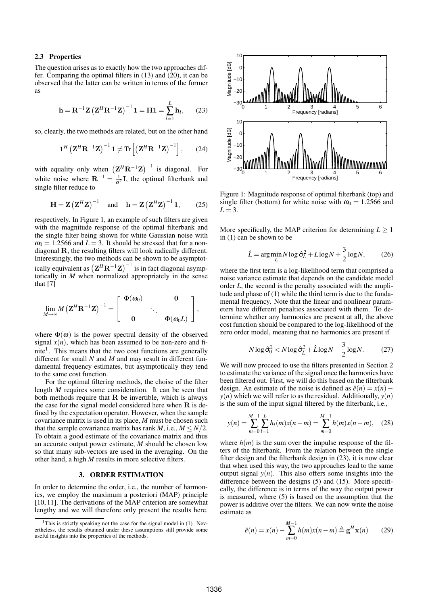## 2.3 Properties

The question arises as to exactly how the two approaches differ. Comparing the optimal filters in (13) and (20), it can be observed that the latter can be written in terms of the former as

$$
\mathbf{h} = \mathbf{R}^{-1} \mathbf{Z} \left( \mathbf{Z}^{H} \mathbf{R}^{-1} \mathbf{Z} \right)^{-1} \mathbf{1} = \mathbf{H} \mathbf{1} = \sum_{l=1}^{L} \mathbf{h}_{l}, \qquad (23)
$$

so, clearly, the two methods are related, but on the other hand

$$
\mathbf{1}^{H} \left( \mathbf{Z}^{H} \mathbf{R}^{-1} \mathbf{Z} \right)^{-1} \mathbf{1} \neq \text{Tr} \left[ \left( \mathbf{Z}^{H} \mathbf{R}^{-1} \mathbf{Z} \right)^{-1} \right], \qquad (24)
$$

with equality only when  $(\mathbf{Z}^H \mathbf{R}^{-1} \mathbf{Z})^{-1}$  is diagonal. For white noise where  $\mathbf{R}^{-1} = \frac{1}{\sigma^2} \mathbf{I}$ , the optimal filterbank and single filter reduce to

$$
\mathbf{H} = \mathbf{Z} \left( \mathbf{Z}^H \mathbf{Z} \right)^{-1} \quad \text{and} \quad \mathbf{h} = \mathbf{Z} \left( \mathbf{Z}^H \mathbf{Z} \right)^{-1} \mathbf{1}, \tag{25}
$$

respectively. In Figure 1, an example of such filters are given with the magnitude response of the optimal filterbank and the single filter being shown for white Gaussian noise with  $\omega_0 = 1.2566$  and  $L = 3$ . It should be stressed that for a nondiagonal R, the resulting filters will look radically different. Interestingly, the two methods can be shown to be asymptotically equivalent as  $(\mathbf{Z}^H \mathbf{R}^{-1} \mathbf{Z})^{-1}$  is in fact diagonal asymptotically in *M* when normalized appropriately in the sense that [7]

$$
\lim_{M\to\infty} M\left(\mathbf{Z}^H \mathbf{R}^{-1} \mathbf{Z}\right)^{-1} = \left[\begin{array}{ccc} \Phi(\omega_0) & 0 \\ & \ddots \\ 0 & \Phi(\omega_0 L) \end{array}\right],
$$

where  $\Phi(\omega)$  is the power spectral density of the observed signal  $x(n)$ , which has been assumed to be non-zero and finite<sup>1</sup>. This means that the two cost functions are generally different for small *N* and *M* and may result in different fundamental frequency estimates, but asymptotically they tend to the same cost function.

For the optimal filtering methods, the choise of the filter length *M* requires some consideration. It can be seen that both methods require that  $R$  be invertible, which is always the case for the signal model considered here when  $R$  is defined by the expectation operator. However, when the sample covariance matrix is used in its place, *M* must be chosen such that the sample covariance matrix has rank *M*, i.e.,  $M \leq N/2$ . To obtain a good estimate of the covariance matrix and thus an accurate output power estimate, *M* should be chosen low so that many sub-vectors are used in the averaging. On the other hand, a high *M* results in more selective filters.

# 3. ORDER ESTIMATION

In order to determine the order, i.e., the number of harmonics, we employ the maximum a posteriori (MAP) principle [10, 11]. The derivations of the MAP criterion are somewhat lengthy and we will therefore only present the results here.



Figure 1: Magnitude response of optimal filterbank (top) and single filter (bottom) for white noise with  $\omega_0 = 1.2566$  and  $L = 3$ .

More specifically, the MAP criterion for determining  $L \geq 1$ in (1) can be shown to be

$$
\hat{L} = \arg\min_{L} N \log \hat{\sigma}_L^2 + L \log N + \frac{3}{2} \log N, \tag{26}
$$

where the first term is a log-likelihood term that comprised a noise variance estimate that depends on the candidate model order *L*, the second is the penalty associated with the amplitude and phase of (1) while the third term is due to the fundamental frequency. Note that the linear and nonlinear parameters have different penalties associated with them. To determine whether any harmonics are present at all, the above cost function should be compared to the log-likelihood of the zero order model, meaning that no harmonics are present if

$$
N \log \hat{\sigma}_0^2 < N \log \hat{\sigma}_{\hat{L}}^2 + \hat{L} \log N + \frac{3}{2} \log N. \tag{27}
$$

We will now proceed to use the filters presented in Section 2 to estimate the variance of the signal once the harmonics have been filtered out. First, we will do this based on the filterbank design. An estimate of the noise is defined as  $\hat{e}(n) = x(n)$  −  $y(n)$  which we will refer to as the residual. Additionally,  $y(n)$ is the sum of the input signal filtered by the filterbank, i.e.,

$$
y(n) = \sum_{m=0}^{M-1} \sum_{l=1}^{L} h_l(m)x(n-m) = \sum_{m=0}^{M-1} h(m)x(n-m), \quad (28)
$$

where  $h(m)$  is the sum over the impulse response of the filters of the filterbank. From the relation between the single filter design and the filterbank design in (23), it is now clear that when used this way, the two approaches lead to the same output signal  $y(n)$ . This also offers some insights into the difference between the designs (5) and (15). More specifically, the difference is in terms of the way the output power is measured, where (5) is based on the assumption that the power is additive over the filters. We can now write the noise estimate as

$$
\hat{e}(n) = x(n) - \sum_{m=0}^{M-1} h(m)x(n-m) \triangleq \mathbf{g}^H \mathbf{x}(n) \qquad (29)
$$

<sup>&</sup>lt;sup>1</sup>This is strictly speaking not the case for the signal model in (1). Nevertheless, the results obtained under these assumptions still provide some useful insights into the properties of the methods.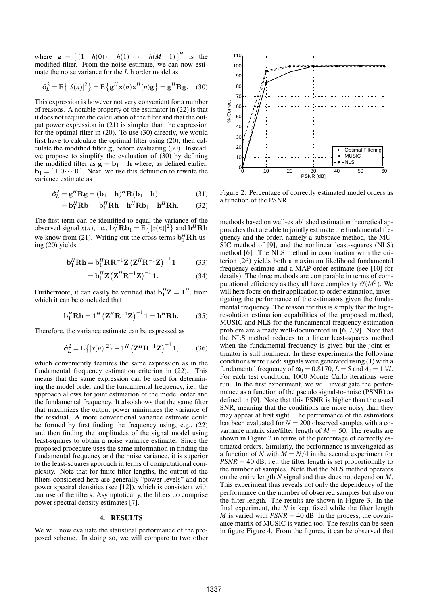where  $g = [(1-h(0)) - h(1) \cdots - h(M-1)]^H$  is the modified filter. From the noise estimate, we can now estimate the noise variance for the *L*th order model as

$$
\hat{\sigma}_L^2 = \mathbf{E}\left\{ |\hat{e}(n)|^2 \right\} = \mathbf{E}\left\{ \mathbf{g}^H \mathbf{x}(n) \mathbf{x}^H(n) \mathbf{g} \right\} = \mathbf{g}^H \mathbf{R} \mathbf{g}.
$$
 (30)

This expression is however not very convenient for a number of reasons. A notable property of the estimator in (22) is that it does not require the calculation of the filter and that the output power expression in (21) is simpler than the expression for the optimal filter in (20). To use (30) directly, we would first have to calculate the optimal filter using (20), then calculate the modified filter g, before evaluating (30). Instead, we propose to simplify the evaluation of (30) by defining the modified filter as  $g = b_1 - h$  where, as defined earlier, **. Next, we use this definition to rewrite the** variance estimate as

$$
\hat{\sigma}_L^2 = \mathbf{g}^H \mathbf{R} \mathbf{g} = (\mathbf{b}_1 - \mathbf{h})^H \mathbf{R} (\mathbf{b}_1 - \mathbf{h})
$$
(31)

$$
= \mathbf{b}_1^H \mathbf{R} \mathbf{b}_1 - \mathbf{b}_1^H \mathbf{R} \mathbf{h} - \mathbf{h}^H \mathbf{R} \mathbf{b}_1 + \mathbf{h}^H \mathbf{R} \mathbf{h}.
$$
 (32)

The first term can be identified to equal the variance of the observed signal  $x(n)$ , i.e.,  $\mathbf{b}_1^H \mathbf{R} \mathbf{b}_1 = \mathbf{E} \{ |x(n)|^2 \}$  and  $\mathbf{h}^H \mathbf{R} \mathbf{h}$ we know from (21). Writing out the cross-terms  $\mathbf{b}_1^H \mathbf{R} \mathbf{h}$  using (20) yields

$$
\mathbf{b}_1^H \mathbf{R} \mathbf{h} = \mathbf{b}_1^H \mathbf{R} \mathbf{R}^{-1} \mathbf{Z} \left( \mathbf{Z}^H \mathbf{R}^{-1} \mathbf{Z} \right)^{-1} \mathbf{1} \tag{33}
$$

$$
= \mathbf{b}_1^H \mathbf{Z} \left( \mathbf{Z}^H \mathbf{R}^{-1} \mathbf{Z} \right)^{-1} \mathbf{1}.
$$
 (34)

Furthermore, it can easily be verified that  $\mathbf{b}_1^H \mathbf{Z} = \mathbf{1}^H$ , from which it can be concluded that

$$
\mathbf{b}_1^H \mathbf{R} \mathbf{h} = \mathbf{1}^H \left( \mathbf{Z}^H \mathbf{R}^{-1} \mathbf{Z} \right)^{-1} \mathbf{1} = \mathbf{h}^H \mathbf{R} \mathbf{h}.
$$
 (35)

Therefore, the variance estimate can be expressed as

$$
\hat{\sigma}_L^2 = E\{|x(n)|^2\} - \mathbf{1}^H \left(\mathbf{Z}^H \mathbf{R}^{-1} \mathbf{Z}\right)^{-1} \mathbf{1},\qquad(36)
$$

which conveniently features the same expression as in the fundamental frequency estimation criterion in (22). This means that the same expression can be used for determining the model order and the fundamental frequency, i.e., the approach allows for joint estimation of the model order and the fundamental frequency. It also shows that the same filter that maximizes the output power minimizes the variance of the residual. A more conventional variance estimate could be formed by first finding the frequency using, e.g., (22) and then finding the amplitudes of the signal model using least-squares to obtain a noise variance estimate. Since the proposed procedure uses the same information in finding the fundamental frequency and the noise variance, it is superior to the least-squares approach in terms of computational complexity. Note that for finite filter lengths, the output of the filters considered here are generally "power levels" and not power spectral densities (see [12]), which is consistent with our use of the filters. Asymptotically, the filters do comprise power spectral density estimates [7].

#### 4. RESULTS

We will now evaluate the statistical performance of the proposed scheme. In doing so, we will compare to two other



Figure 2: Percentage of correctly estimated model orders as a function of the PSNR.

methods based on well-established estimation theoretical approaches that are able to jointly estimate the fundamental frequency and the order, namely a subspace method, the MU-SIC method of [9], and the nonlinear least-squares (NLS) method [6]. The NLS method in combination with the criterion (26) yields both a maximum likelihood fundamental frequency estimate and a MAP order estimate (see [10] for details). The three methods are comparable in terms of computational efficiency as they all have complexity  $\mathcal{O}(M^3)$ . We will here focus on their application to order estimation, investigating the performance of the estimators given the fundamental frequency. The reason for this is simply that the highresolution estimation capabilities of the proposed method, MUSIC and NLS for the fundamental frequency estimation problem are already well-documented in [6, 7, 9]. Note that the NLS method reduces to a linear least-squares method when the fundamental frequency is given but the joint estimator is still nonlinear. In these experiments the following conditions were used: signals were generated using (1) with a fundamental frequency of  $\omega_0 = 0.8170$ ,  $L = 5$  and  $A_l = 1 \forall l$ . For each test condition, 1000 Monte Carlo iterations were run. In the first experiment, we will investigate the performance as a function of the pseudo signal-to-noise (PSNR) as defined in [9]. Note that this PSNR is higher than the usual SNR, meaning that the conditions are more noisy than they may appear at first sight. The performance of the estimators has been evaluated for  $N = 200$  observed samples with a covariance matrix size/filter length of  $M = 50$ . The results are shown in Figure 2 in terms of the percentage of correctly estimated orders. Similarly, the performance is investigated as a function of *N* with  $M = N/4$  in the second experiment for  $PSNR = 40$  dB, i.e., the filter length is set proportionally to the number of samples. Note that the NLS method operates on the entire length *N* signal and thus does not depend on *M*. This experiment thus reveals not only the dependency of the performance on the number of observed samples but also on the filter length. The results are shown in Figure 3. In the final experiment, the *N* is kept fixed while the filter length *M* is varied with  $PSNR = 40$  dB. In the process, the covariance matrix of MUSIC is varied too. The results can be seen in figure Figure 4. From the figures, it can be observed that